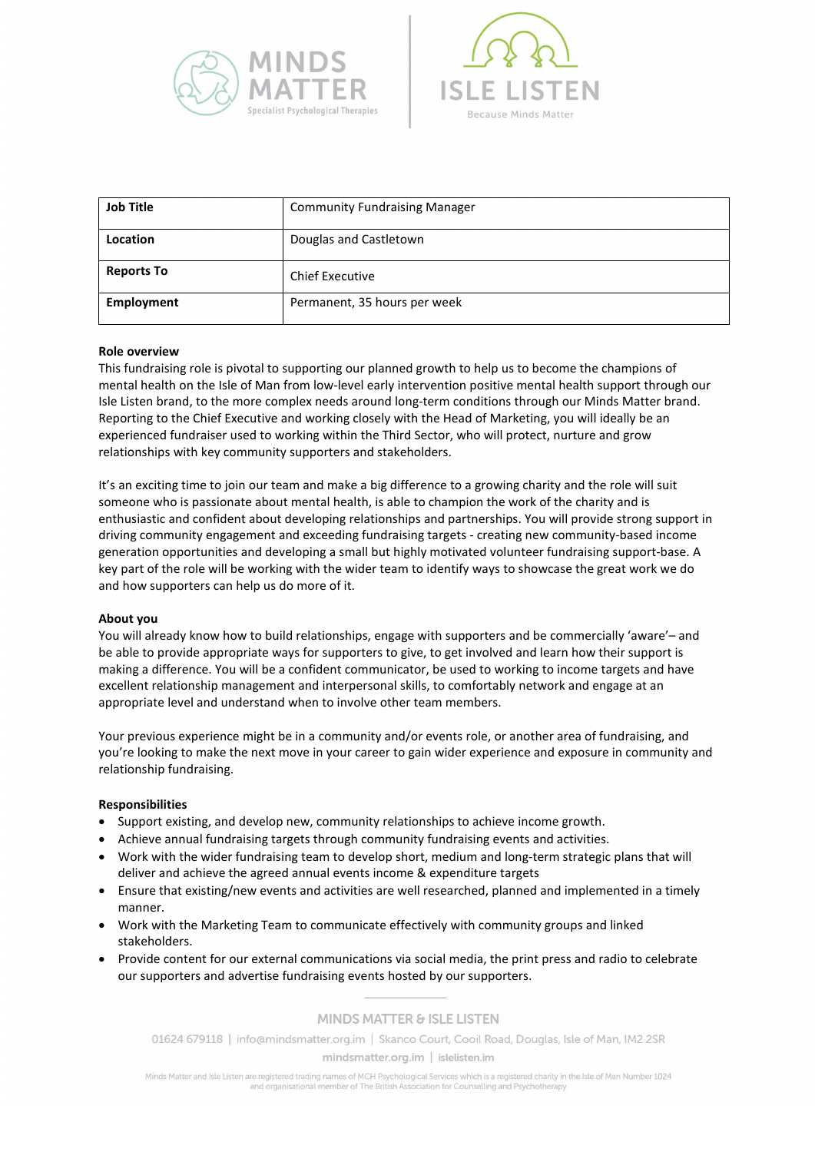



| <b>Job Title</b>  | <b>Community Fundraising Manager</b> |
|-------------------|--------------------------------------|
| Location          | Douglas and Castletown               |
| <b>Reports To</b> | <b>Chief Executive</b>               |
| Employment        | Permanent, 35 hours per week         |

#### **Role overview**

This fundraising role is pivotal to supporting our planned growth to help us to become the champions of mental health on the Isle of Man from low-level early intervention positive mental health support through our Isle Listen brand, to the more complex needs around long-term conditions through our Minds Matter brand. Reporting to the Chief Executive and working closely with the Head of Marketing, you will ideally be an experienced fundraiser used to working within the Third Sector, who will protect, nurture and grow relationships with key community supporters and stakeholders.

It's an exciting time to join our team and make a big difference to a growing charity and the role will suit someone who is passionate about mental health, is able to champion the work of the charity and is enthusiastic and confident about developing relationships and partnerships. You will provide strong support in driving community engagement and exceeding fundraising targets - creating new community-based income generation opportunities and developing a small but highly motivated volunteer fundraising support-base. A key part of the role will be working with the wider team to identify ways to showcase the great work we do and how supporters can help us do more of it.

#### **About you**

You will already know how to build relationships, engage with supporters and be commercially 'aware'– and be able to provide appropriate ways for supporters to give, to get involved and learn how their support is making a difference. You will be a confident communicator, be used to working to income targets and have excellent relationship management and interpersonal skills, to comfortably network and engage at an appropriate level and understand when to involve other team members.

Your previous experience might be in a community and/or events role, or another area of fundraising, and you're looking to make the next move in your career to gain wider experience and exposure in community and relationship fundraising.

#### **Responsibilities**

- Support existing, and develop new, community relationships to achieve income growth.
- Achieve annual fundraising targets through community fundraising events and activities.
- Work with the wider fundraising team to develop short, medium and long-term strategic plans that will deliver and achieve the agreed annual events income & expenditure targets
- Ensure that existing/new events and activities are well researched, planned and implemented in a timely manner.
- Work with the Marketing Team to communicate effectively with community groups and linked stakeholders.
- Provide content for our external communications via social media, the print press and radio to celebrate our supporters and advertise fundraising events hosted by our supporters.

#### **MINDS MATTER & ISLE LISTEN**

01624 679118 | info@mindsmatter.org.im | Skanco Court, Cooil Road, Douglas, Isle of Man, IM2 2SR mindsmatter.org.im | islelisten.im

Minds Matter and Isle Listen are registered trading names of MCH Psychological Services which is a registered charity in the Isle of Man Number 1024 and organisational member of The British Association for Counselling and Psychotherapy